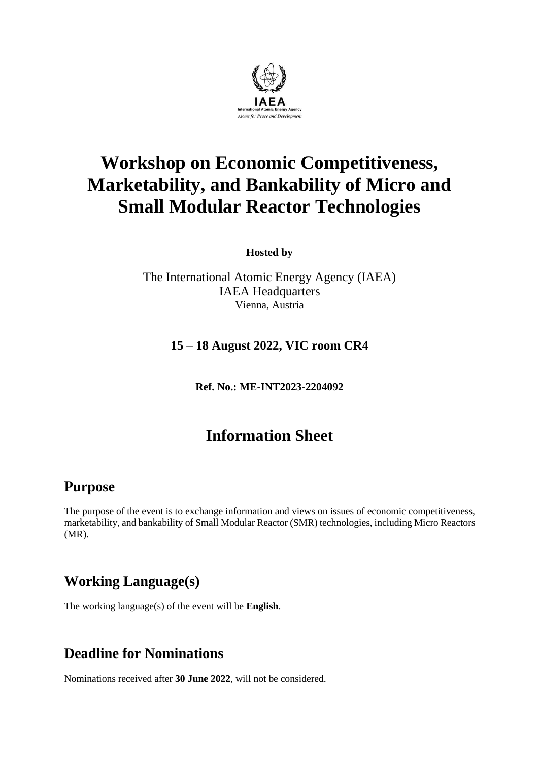

# **Workshop on Economic Competitiveness, Marketability, and Bankability of Micro and Small Modular Reactor Technologies**

**Hosted by**

The International Atomic Energy Agency (IAEA) IAEA Headquarters Vienna, Austria

#### **15 – 18 August 2022, VIC room CR4**

**Ref. No.: ME-INT2023-2204092**

# **Information Sheet**

#### **Purpose**

The purpose of the event is to exchange information and views on issues of economic competitiveness, marketability, and bankability of Small Modular Reactor (SMR) technologies, including Micro Reactors (MR).

# **Working Language(s)**

The working language(s) of the event will be **English**.

# **Deadline for Nominations**

Nominations received after **30 June 2022**, will not be considered.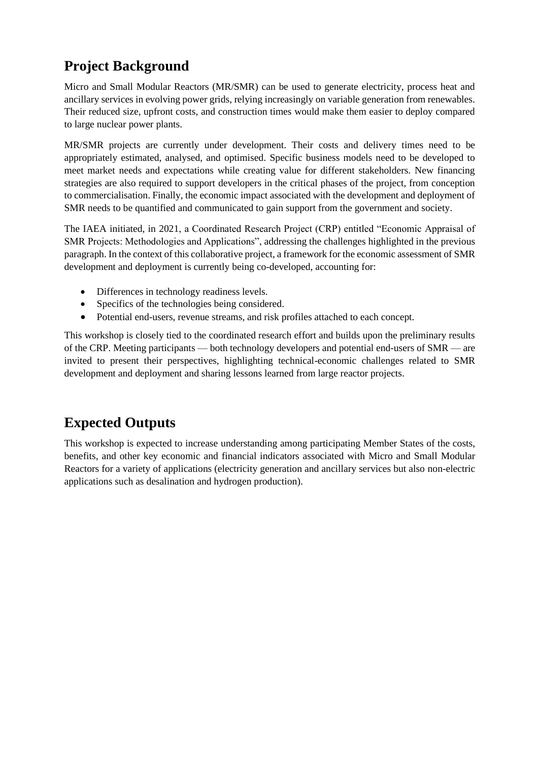# **Project Background**

Micro and Small Modular Reactors (MR/SMR) can be used to generate electricity, process heat and ancillary services in evolving power grids, relying increasingly on variable generation from renewables. Their reduced size, upfront costs, and construction times would make them easier to deploy compared to large nuclear power plants.

MR/SMR projects are currently under development. Their costs and delivery times need to be appropriately estimated, analysed, and optimised. Specific business models need to be developed to meet market needs and expectations while creating value for different stakeholders. New financing strategies are also required to support developers in the critical phases of the project, from conception to commercialisation. Finally, the economic impact associated with the development and deployment of SMR needs to be quantified and communicated to gain support from the government and society.

The IAEA initiated, in 2021, a Coordinated Research Project (CRP) entitled "Economic Appraisal of SMR Projects: Methodologies and Applications", addressing the challenges highlighted in the previous paragraph. In the context of this collaborative project, a framework for the economic assessment of SMR development and deployment is currently being co-developed, accounting for:

- Differences in technology readiness levels.
- Specifics of the technologies being considered.
- Potential end-users, revenue streams, and risk profiles attached to each concept.

This workshop is closely tied to the coordinated research effort and builds upon the preliminary results of the CRP. Meeting participants — both technology developers and potential end-users of SMR — are invited to present their perspectives, highlighting technical-economic challenges related to SMR development and deployment and sharing lessons learned from large reactor projects.

# **Expected Outputs**

This workshop is expected to increase understanding among participating Member States of the costs, benefits, and other key economic and financial indicators associated with Micro and Small Modular Reactors for a variety of applications (electricity generation and ancillary services but also non-electric applications such as desalination and hydrogen production).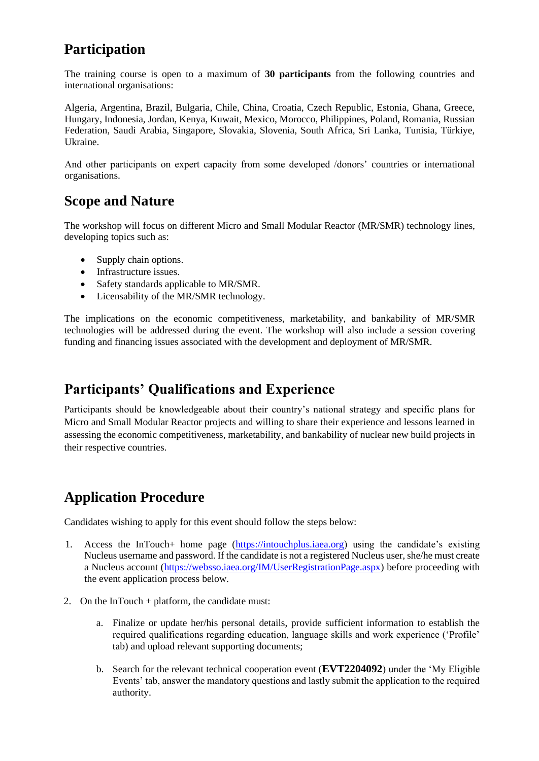# **Participation**

The training course is open to a maximum of **30 participants** from the following countries and international organisations:

Algeria, Argentina, Brazil, Bulgaria, Chile, China, Croatia, Czech Republic, Estonia, Ghana, Greece, Hungary, Indonesia, Jordan, Kenya, Kuwait, Mexico, Morocco, Philippines, Poland, Romania, Russian Federation, Saudi Arabia, Singapore, Slovakia, Slovenia, South Africa, Sri Lanka, Tunisia, Türkiye, Ukraine.

And other participants on expert capacity from some developed /donors' countries or international organisations.

### **Scope and Nature**

The workshop will focus on different Micro and Small Modular Reactor (MR/SMR) technology lines, developing topics such as:

- Supply chain options.
- Infrastructure issues.
- Safety standards applicable to MR/SMR.
- Licensability of the MR/SMR technology.

The implications on the economic competitiveness, marketability, and bankability of MR/SMR technologies will be addressed during the event. The workshop will also include a session covering funding and financing issues associated with the development and deployment of MR/SMR.

# **Participants' Qualifications and Experience**

Participants should be knowledgeable about their country's national strategy and specific plans for Micro and Small Modular Reactor projects and willing to share their experience and lessons learned in assessing the economic competitiveness, marketability, and bankability of nuclear new build projects in their respective countries.

# **Application Procedure**

Candidates wishing to apply for this event should follow the steps below:

- 1. Access the InTouch+ home page [\(https://intouchplus.iaea.org\)](https://intouchplus.iaea.org/) using the candidate's existing Nucleus username and password. If the candidate is not a registered Nucleus user, she/he must create a Nucleus account [\(https://websso.iaea.org/IM/UserRegistrationPage.aspx\)](https://websso.iaea.org/IM/UserRegistrationPage.aspx) before proceeding with the event application process below.
- 2. On the InTouch + platform, the candidate must:
	- a. Finalize or update her/his personal details, provide sufficient information to establish the required qualifications regarding education, language skills and work experience ('Profile' tab) and upload relevant supporting documents;
	- b. Search for the relevant technical cooperation event (**EVT2204092**) under the 'My Eligible Events' tab, answer the mandatory questions and lastly submit the application to the required authority.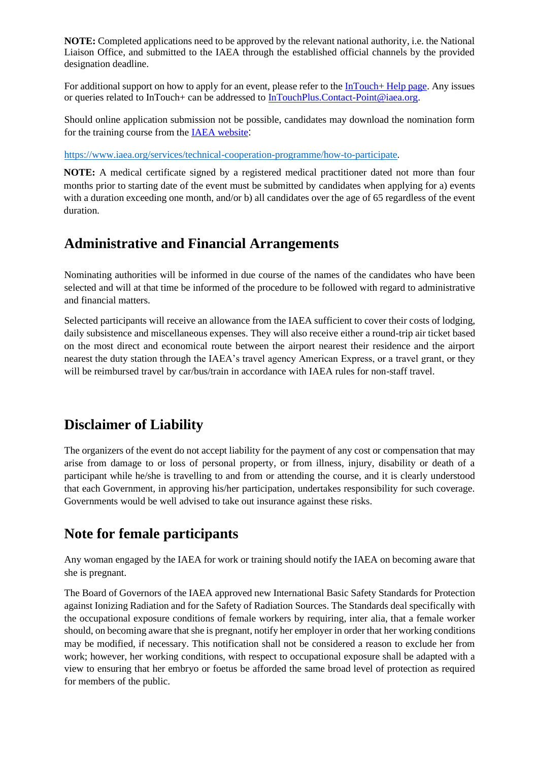**NOTE:** Completed applications need to be approved by the relevant national authority, i.e. the National Liaison Office, and submitted to the IAEA through the established official channels by the provided designation deadline.

For additional support on how to apply for an event, please refer to the [InTouch+ Help page.](https://nucleus.iaea.org/sites/intouchplushelp) Any issues or queries related to InTouch+ can be addressed to [InTouchPlus.Contact-Point@iaea.org.](mailto:InTouchPlus.Contact-Point@iaea.org)

Should online application submission not be possible, candidates may download the nomination form for the training course from the [IAEA website](https://www.iaea.org/services/technical-cooperation-programme/how-to-participate):

[https://www.iaea.org/services/technical-cooperation-programme/how-to-participate.](https://www.iaea.org/services/technical-cooperation-programme/how-to-participate)

**NOTE:** A medical certificate signed by a registered medical practitioner dated not more than four months prior to starting date of the event must be submitted by candidates when applying for a) events with a duration exceeding one month, and/or b) all candidates over the age of 65 regardless of the event duration.

#### **Administrative and Financial Arrangements**

Nominating authorities will be informed in due course of the names of the candidates who have been selected and will at that time be informed of the procedure to be followed with regard to administrative and financial matters.

Selected participants will receive an allowance from the IAEA sufficient to cover their costs of lodging, daily subsistence and miscellaneous expenses. They will also receive either a round-trip air ticket based on the most direct and economical route between the airport nearest their residence and the airport nearest the duty station through the IAEA's travel agency American Express, or a travel grant, or they will be reimbursed travel by car/bus/train in accordance with IAEA rules for non-staff travel.

# **Disclaimer of Liability**

The organizers of the event do not accept liability for the payment of any cost or compensation that may arise from damage to or loss of personal property, or from illness, injury, disability or death of a participant while he/she is travelling to and from or attending the course, and it is clearly understood that each Government, in approving his/her participation, undertakes responsibility for such coverage. Governments would be well advised to take out insurance against these risks.

# **Note for female participants**

Any woman engaged by the IAEA for work or training should notify the IAEA on becoming aware that she is pregnant.

The Board of Governors of the IAEA approved new International Basic Safety Standards for Protection against Ionizing Radiation and for the Safety of Radiation Sources. The Standards deal specifically with the occupational exposure conditions of female workers by requiring, inter alia, that a female worker should, on becoming aware that she is pregnant, notify her employer in order that her working conditions may be modified, if necessary. This notification shall not be considered a reason to exclude her from work; however, her working conditions, with respect to occupational exposure shall be adapted with a view to ensuring that her embryo or foetus be afforded the same broad level of protection as required for members of the public.